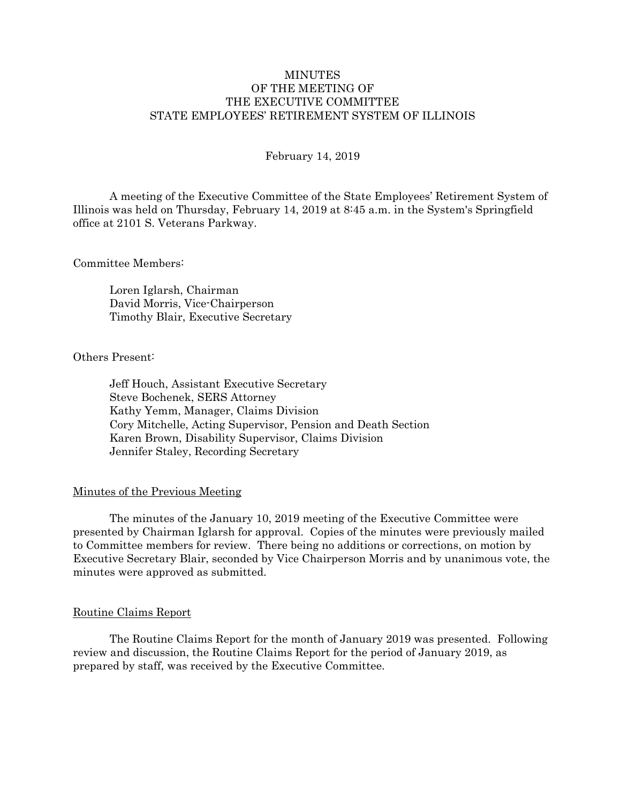# **MINUTES** OF THE MEETING OF THE EXECUTIVE COMMITTEE STATE EMPLOYEES' RETIREMENT SYSTEM OF ILLINOIS

#### February 14, 2019

 A meeting of the Executive Committee of the State Employees' Retirement System of Illinois was held on Thursday, February 14, 2019 at 8:45 a.m. in the System's Springfield office at 2101 S. Veterans Parkway.

#### Committee Members:

 Loren Iglarsh, Chairman David Morris, Vice-Chairperson Timothy Blair, Executive Secretary

#### Others Present:

 Jeff Houch, Assistant Executive Secretary Steve Bochenek, SERS Attorney Kathy Yemm, Manager, Claims Division Cory Mitchelle, Acting Supervisor, Pension and Death Section Karen Brown, Disability Supervisor, Claims Division Jennifer Staley, Recording Secretary

## Minutes of the Previous Meeting

 The minutes of the January 10, 2019 meeting of the Executive Committee were presented by Chairman Iglarsh for approval. Copies of the minutes were previously mailed to Committee members for review. There being no additions or corrections, on motion by Executive Secretary Blair, seconded by Vice Chairperson Morris and by unanimous vote, the minutes were approved as submitted.

## Routine Claims Report

 The Routine Claims Report for the month of January 2019 was presented. Following review and discussion, the Routine Claims Report for the period of January 2019, as prepared by staff, was received by the Executive Committee.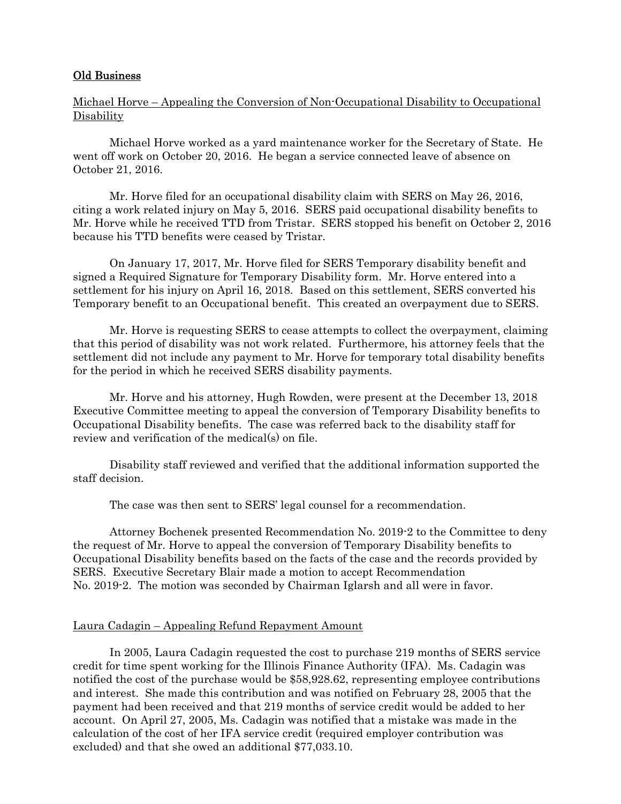## Old Business

# Michael Horve – Appealing the Conversion of Non-Occupational Disability to Occupational Disability

 Michael Horve worked as a yard maintenance worker for the Secretary of State. He went off work on October 20, 2016. He began a service connected leave of absence on October 21, 2016.

 Mr. Horve filed for an occupational disability claim with SERS on May 26, 2016, citing a work related injury on May 5, 2016. SERS paid occupational disability benefits to Mr. Horve while he received TTD from Tristar. SERS stopped his benefit on October 2, 2016 because his TTD benefits were ceased by Tristar.

 On January 17, 2017, Mr. Horve filed for SERS Temporary disability benefit and signed a Required Signature for Temporary Disability form. Mr. Horve entered into a settlement for his injury on April 16, 2018. Based on this settlement, SERS converted his Temporary benefit to an Occupational benefit. This created an overpayment due to SERS.

 Mr. Horve is requesting SERS to cease attempts to collect the overpayment, claiming that this period of disability was not work related. Furthermore, his attorney feels that the settlement did not include any payment to Mr. Horve for temporary total disability benefits for the period in which he received SERS disability payments.

 Mr. Horve and his attorney, Hugh Rowden, were present at the December 13, 2018 Executive Committee meeting to appeal the conversion of Temporary Disability benefits to Occupational Disability benefits. The case was referred back to the disability staff for review and verification of the medical(s) on file.

Disability staff reviewed and verified that the additional information supported the staff decision.

The case was then sent to SERS' legal counsel for a recommendation.

Attorney Bochenek presented Recommendation No. 2019-2 to the Committee to deny the request of Mr. Horve to appeal the conversion of Temporary Disability benefits to Occupational Disability benefits based on the facts of the case and the records provided by SERS. Executive Secretary Blair made a motion to accept Recommendation No. 2019-2. The motion was seconded by Chairman Iglarsh and all were in favor.

## Laura Cadagin – Appealing Refund Repayment Amount

In 2005, Laura Cadagin requested the cost to purchase 219 months of SERS service credit for time spent working for the Illinois Finance Authority (IFA). Ms. Cadagin was notified the cost of the purchase would be \$58,928.62, representing employee contributions and interest. She made this contribution and was notified on February 28, 2005 that the payment had been received and that 219 months of service credit would be added to her account. On April 27, 2005, Ms. Cadagin was notified that a mistake was made in the calculation of the cost of her IFA service credit (required employer contribution was excluded) and that she owed an additional \$77,033.10.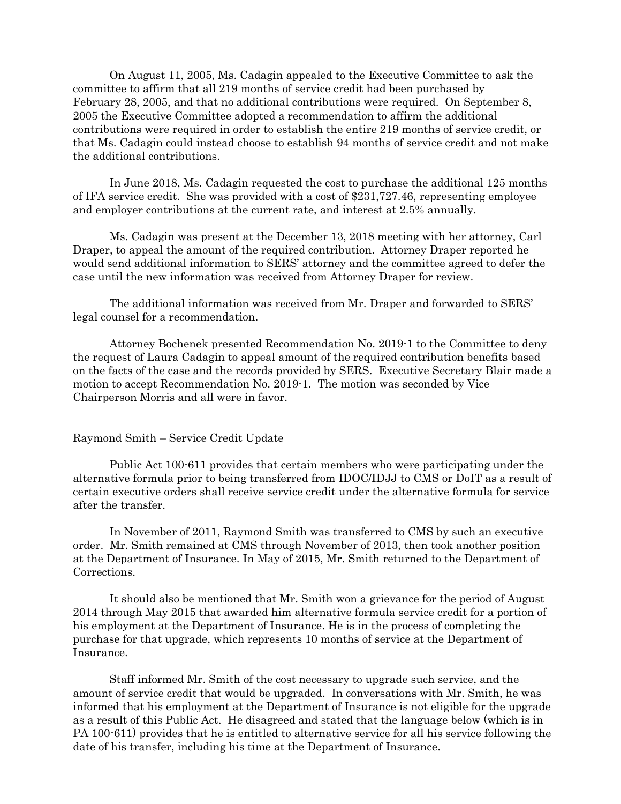On August 11, 2005, Ms. Cadagin appealed to the Executive Committee to ask the committee to affirm that all 219 months of service credit had been purchased by February 28, 2005, and that no additional contributions were required. On September 8, 2005 the Executive Committee adopted a recommendation to affirm the additional contributions were required in order to establish the entire 219 months of service credit, or that Ms. Cadagin could instead choose to establish 94 months of service credit and not make the additional contributions.

In June 2018, Ms. Cadagin requested the cost to purchase the additional 125 months of IFA service credit. She was provided with a cost of \$231,727.46, representing employee and employer contributions at the current rate, and interest at 2.5% annually.

Ms. Cadagin was present at the December 13, 2018 meeting with her attorney, Carl Draper, to appeal the amount of the required contribution. Attorney Draper reported he would send additional information to SERS' attorney and the committee agreed to defer the case until the new information was received from Attorney Draper for review.

The additional information was received from Mr. Draper and forwarded to SERS' legal counsel for a recommendation.

Attorney Bochenek presented Recommendation No. 2019-1 to the Committee to deny the request of Laura Cadagin to appeal amount of the required contribution benefits based on the facts of the case and the records provided by SERS. Executive Secretary Blair made a motion to accept Recommendation No. 2019-1. The motion was seconded by Vice Chairperson Morris and all were in favor.

## Raymond Smith – Service Credit Update

Public Act 100-611 provides that certain members who were participating under the alternative formula prior to being transferred from IDOC/IDJJ to CMS or DoIT as a result of certain executive orders shall receive service credit under the alternative formula for service after the transfer.

In November of 2011, Raymond Smith was transferred to CMS by such an executive order. Mr. Smith remained at CMS through November of 2013, then took another position at the Department of Insurance. In May of 2015, Mr. Smith returned to the Department of **Corrections** 

It should also be mentioned that Mr. Smith won a grievance for the period of August 2014 through May 2015 that awarded him alternative formula service credit for a portion of his employment at the Department of Insurance. He is in the process of completing the purchase for that upgrade, which represents 10 months of service at the Department of Insurance.

 Staff informed Mr. Smith of the cost necessary to upgrade such service, and the amount of service credit that would be upgraded. In conversations with Mr. Smith, he was informed that his employment at the Department of Insurance is not eligible for the upgrade as a result of this Public Act. He disagreed and stated that the language below (which is in PA 100-611) provides that he is entitled to alternative service for all his service following the date of his transfer, including his time at the Department of Insurance.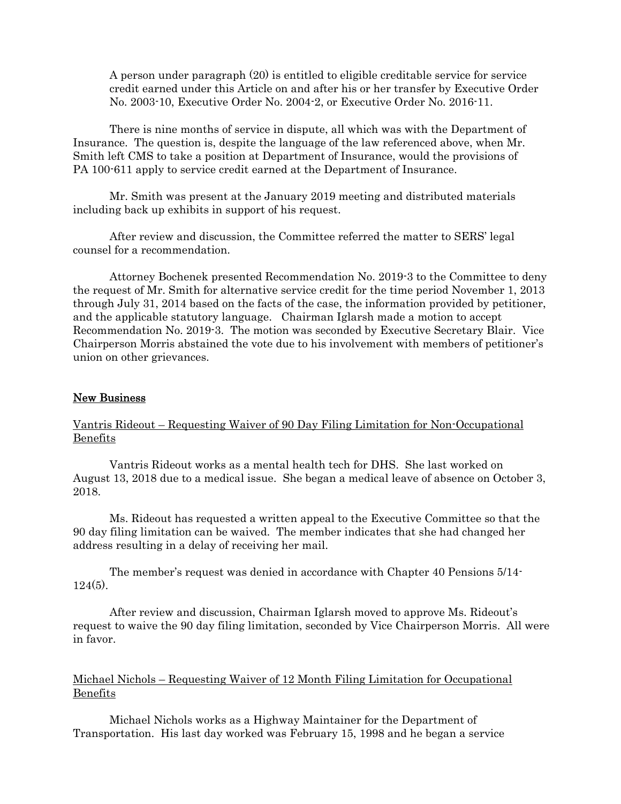A person under paragraph (20) is entitled to eligible creditable service for service credit earned under this Article on and after his or her transfer by Executive Order No. 2003-10, Executive Order No. 2004-2, or Executive Order No. 2016-11.

There is nine months of service in dispute, all which was with the Department of Insurance. The question is, despite the language of the law referenced above, when Mr. Smith left CMS to take a position at Department of Insurance, would the provisions of PA 100-611 apply to service credit earned at the Department of Insurance.

Mr. Smith was present at the January 2019 meeting and distributed materials including back up exhibits in support of his request.

After review and discussion, the Committee referred the matter to SERS' legal counsel for a recommendation.

Attorney Bochenek presented Recommendation No. 2019-3 to the Committee to deny the request of Mr. Smith for alternative service credit for the time period November 1, 2013 through July 31, 2014 based on the facts of the case, the information provided by petitioner, and the applicable statutory language. Chairman Iglarsh made a motion to accept Recommendation No. 2019-3. The motion was seconded by Executive Secretary Blair. Vice Chairperson Morris abstained the vote due to his involvement with members of petitioner's union on other grievances.

## New Business

Vantris Rideout – Requesting Waiver of 90 Day Filing Limitation for Non-Occupational Benefits

 Vantris Rideout works as a mental health tech for DHS. She last worked on August 13, 2018 due to a medical issue. She began a medical leave of absence on October 3, 2018.

 Ms. Rideout has requested a written appeal to the Executive Committee so that the 90 day filing limitation can be waived. The member indicates that she had changed her address resulting in a delay of receiving her mail.

 The member's request was denied in accordance with Chapter 40 Pensions 5/14- 124(5).

After review and discussion, Chairman Iglarsh moved to approve Ms. Rideout's request to waive the 90 day filing limitation, seconded by Vice Chairperson Morris. All were in favor.

## Michael Nichols – Requesting Waiver of 12 Month Filing Limitation for Occupational Benefits

 Michael Nichols works as a Highway Maintainer for the Department of Transportation. His last day worked was February 15, 1998 and he began a service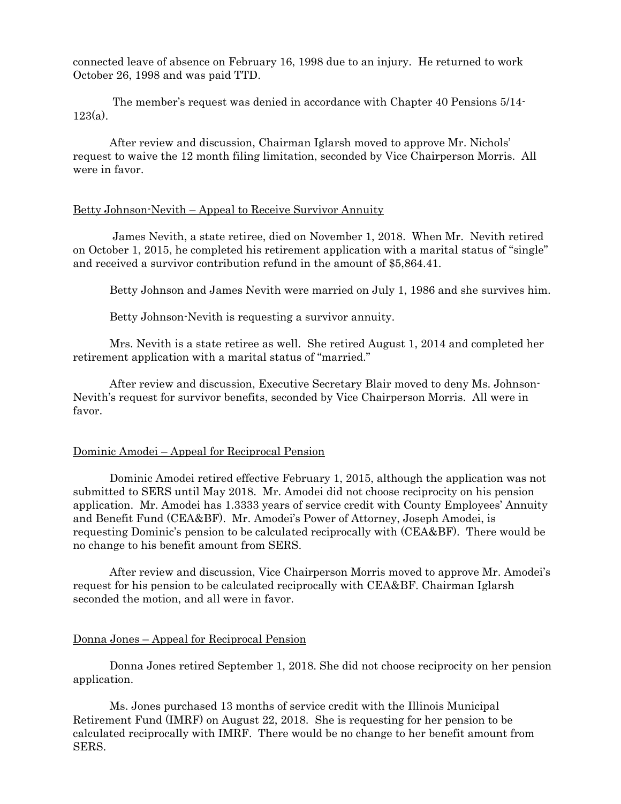connected leave of absence on February 16, 1998 due to an injury. He returned to work October 26, 1998 and was paid TTD.

 The member's request was denied in accordance with Chapter 40 Pensions 5/14-  $123(a)$ .

After review and discussion, Chairman Iglarsh moved to approve Mr. Nichols' request to waive the 12 month filing limitation, seconded by Vice Chairperson Morris. All were in favor.

## Betty Johnson-Nevith – Appeal to Receive Survivor Annuity

 James Nevith, a state retiree, died on November 1, 2018. When Mr. Nevith retired on October 1, 2015, he completed his retirement application with a marital status of "single" and received a survivor contribution refund in the amount of \$5,864.41.

Betty Johnson and James Nevith were married on July 1, 1986 and she survives him.

Betty Johnson-Nevith is requesting a survivor annuity.

 Mrs. Nevith is a state retiree as well. She retired August 1, 2014 and completed her retirement application with a marital status of "married."

After review and discussion, Executive Secretary Blair moved to deny Ms. Johnson-Nevith's request for survivor benefits, seconded by Vice Chairperson Morris. All were in favor.

#### Dominic Amodei – Appeal for Reciprocal Pension

 Dominic Amodei retired effective February 1, 2015, although the application was not submitted to SERS until May 2018. Mr. Amodei did not choose reciprocity on his pension application. Mr. Amodei has 1.3333 years of service credit with County Employees' Annuity and Benefit Fund (CEA&BF). Mr. Amodei's Power of Attorney, Joseph Amodei, is requesting Dominic's pension to be calculated reciprocally with (CEA&BF). There would be no change to his benefit amount from SERS.

After review and discussion, Vice Chairperson Morris moved to approve Mr. Amodei's request for his pension to be calculated reciprocally with CEA&BF. Chairman Iglarsh seconded the motion, and all were in favor.

#### Donna Jones – Appeal for Reciprocal Pension

 Donna Jones retired September 1, 2018. She did not choose reciprocity on her pension application.

 Ms. Jones purchased 13 months of service credit with the Illinois Municipal Retirement Fund (IMRF) on August 22, 2018. She is requesting for her pension to be calculated reciprocally with IMRF. There would be no change to her benefit amount from SERS.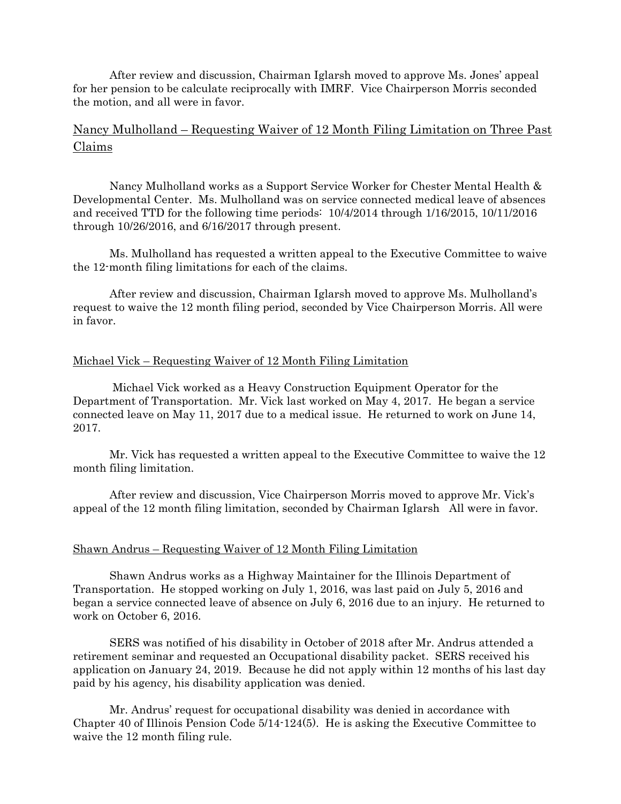After review and discussion, Chairman Iglarsh moved to approve Ms. Jones' appeal for her pension to be calculate reciprocally with IMRF. Vice Chairperson Morris seconded the motion, and all were in favor.

# Nancy Mulholland – Requesting Waiver of 12 Month Filing Limitation on Three Past Claims

 Nancy Mulholland works as a Support Service Worker for Chester Mental Health & Developmental Center. Ms. Mulholland was on service connected medical leave of absences and received TTD for the following time periods: 10/4/2014 through 1/16/2015, 10/11/2016 through 10/26/2016, and 6/16/2017 through present.

 Ms. Mulholland has requested a written appeal to the Executive Committee to waive the 12-month filing limitations for each of the claims.

After review and discussion, Chairman Iglarsh moved to approve Ms. Mulholland's request to waive the 12 month filing period, seconded by Vice Chairperson Morris. All were in favor.

#### Michael Vick – Requesting Waiver of 12 Month Filing Limitation

 Michael Vick worked as a Heavy Construction Equipment Operator for the Department of Transportation. Mr. Vick last worked on May 4, 2017. He began a service connected leave on May 11, 2017 due to a medical issue. He returned to work on June 14, 2017.

 Mr. Vick has requested a written appeal to the Executive Committee to waive the 12 month filing limitation.

After review and discussion, Vice Chairperson Morris moved to approve Mr. Vick's appeal of the 12 month filing limitation, seconded by Chairman Iglarsh All were in favor.

#### Shawn Andrus – Requesting Waiver of 12 Month Filing Limitation

 Shawn Andrus works as a Highway Maintainer for the Illinois Department of Transportation. He stopped working on July 1, 2016, was last paid on July 5, 2016 and began a service connected leave of absence on July 6, 2016 due to an injury. He returned to work on October 6, 2016.

 SERS was notified of his disability in October of 2018 after Mr. Andrus attended a retirement seminar and requested an Occupational disability packet. SERS received his application on January 24, 2019. Because he did not apply within 12 months of his last day paid by his agency, his disability application was denied.

 Mr. Andrus' request for occupational disability was denied in accordance with Chapter 40 of Illinois Pension Code 5/14-124(5). He is asking the Executive Committee to waive the 12 month filing rule.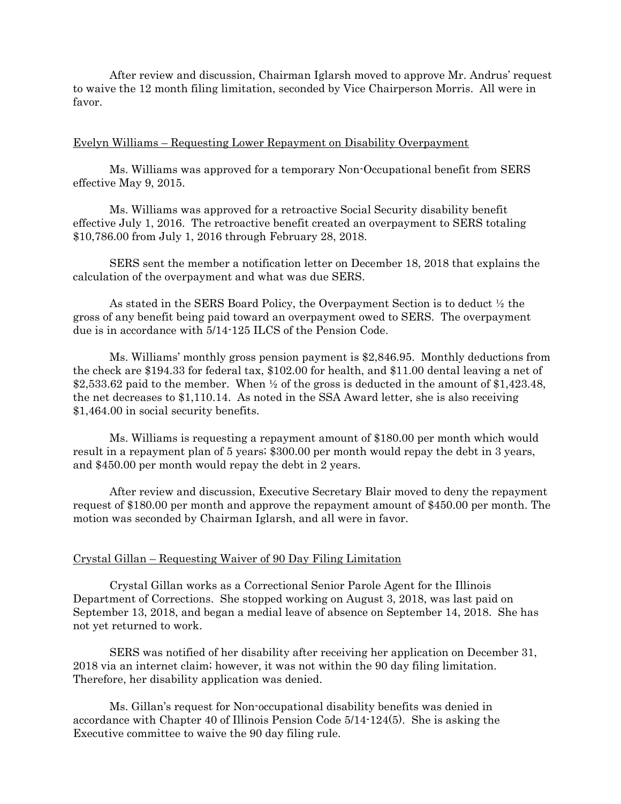After review and discussion, Chairman Iglarsh moved to approve Mr. Andrus' request to waive the 12 month filing limitation, seconded by Vice Chairperson Morris. All were in favor.

#### Evelyn Williams – Requesting Lower Repayment on Disability Overpayment

 Ms. Williams was approved for a temporary Non-Occupational benefit from SERS effective May 9, 2015.

 Ms. Williams was approved for a retroactive Social Security disability benefit effective July 1, 2016. The retroactive benefit created an overpayment to SERS totaling \$10,786.00 from July 1, 2016 through February 28, 2018.

 SERS sent the member a notification letter on December 18, 2018 that explains the calculation of the overpayment and what was due SERS.

 As stated in the SERS Board Policy, the Overpayment Section is to deduct ½ the gross of any benefit being paid toward an overpayment owed to SERS. The overpayment due is in accordance with 5/14-125 ILCS of the Pension Code.

 Ms. Williams' monthly gross pension payment is \$2,846.95. Monthly deductions from the check are \$194.33 for federal tax, \$102.00 for health, and \$11.00 dental leaving a net of \$2,533.62 paid to the member. When  $\frac{1}{2}$  of the gross is deducted in the amount of \$1,423.48, the net decreases to \$1,110.14. As noted in the SSA Award letter, she is also receiving \$1,464.00 in social security benefits.

 Ms. Williams is requesting a repayment amount of \$180.00 per month which would result in a repayment plan of 5 years; \$300.00 per month would repay the debt in 3 years, and \$450.00 per month would repay the debt in 2 years.

After review and discussion, Executive Secretary Blair moved to deny the repayment request of \$180.00 per month and approve the repayment amount of \$450.00 per month. The motion was seconded by Chairman Iglarsh, and all were in favor.

#### Crystal Gillan – Requesting Waiver of 90 Day Filing Limitation

Crystal Gillan works as a Correctional Senior Parole Agent for the Illinois Department of Corrections. She stopped working on August 3, 2018, was last paid on September 13, 2018, and began a medial leave of absence on September 14, 2018. She has not yet returned to work.

SERS was notified of her disability after receiving her application on December 31, 2018 via an internet claim; however, it was not within the 90 day filing limitation. Therefore, her disability application was denied.

 Ms. Gillan's request for Non-occupational disability benefits was denied in accordance with Chapter 40 of Illinois Pension Code 5/14-124(5). She is asking the Executive committee to waive the 90 day filing rule.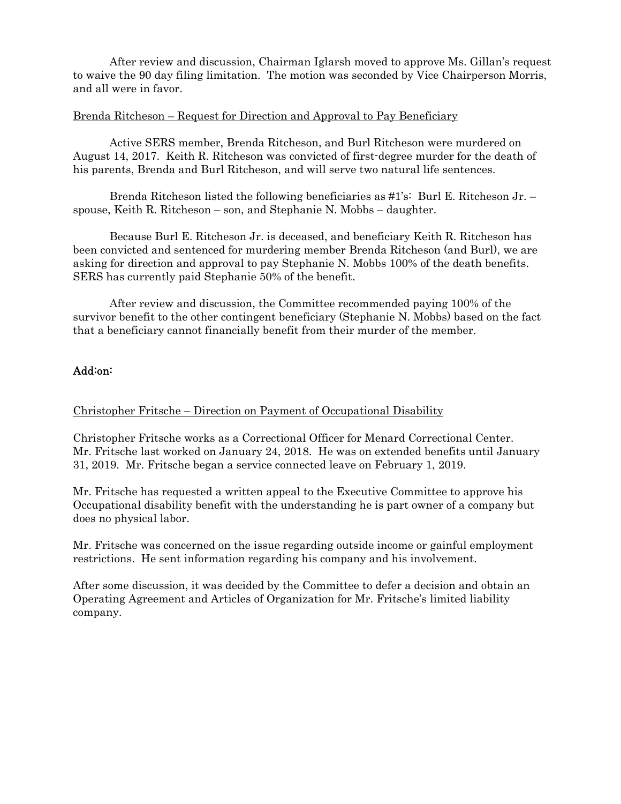After review and discussion, Chairman Iglarsh moved to approve Ms. Gillan's request to waive the 90 day filing limitation. The motion was seconded by Vice Chairperson Morris, and all were in favor.

# Brenda Ritcheson – Request for Direction and Approval to Pay Beneficiary

 Active SERS member, Brenda Ritcheson, and Burl Ritcheson were murdered on August 14, 2017. Keith R. Ritcheson was convicted of first-degree murder for the death of his parents, Brenda and Burl Ritcheson, and will serve two natural life sentences.

 Brenda Ritcheson listed the following beneficiaries as #1's: Burl E. Ritcheson Jr. – spouse, Keith R. Ritcheson – son, and Stephanie N. Mobbs – daughter.

 Because Burl E. Ritcheson Jr. is deceased, and beneficiary Keith R. Ritcheson has been convicted and sentenced for murdering member Brenda Ritcheson (and Burl), we are asking for direction and approval to pay Stephanie N. Mobbs 100% of the death benefits. SERS has currently paid Stephanie 50% of the benefit.

After review and discussion, the Committee recommended paying 100% of the survivor benefit to the other contingent beneficiary (Stephanie N. Mobbs) based on the fact that a beneficiary cannot financially benefit from their murder of the member.

# Add:on:

# Christopher Fritsche – Direction on Payment of Occupational Disability

Christopher Fritsche works as a Correctional Officer for Menard Correctional Center. Mr. Fritsche last worked on January 24, 2018. He was on extended benefits until January 31, 2019. Mr. Fritsche began a service connected leave on February 1, 2019.

Mr. Fritsche has requested a written appeal to the Executive Committee to approve his Occupational disability benefit with the understanding he is part owner of a company but does no physical labor.

Mr. Fritsche was concerned on the issue regarding outside income or gainful employment restrictions. He sent information regarding his company and his involvement.

After some discussion, it was decided by the Committee to defer a decision and obtain an Operating Agreement and Articles of Organization for Mr. Fritsche's limited liability company.